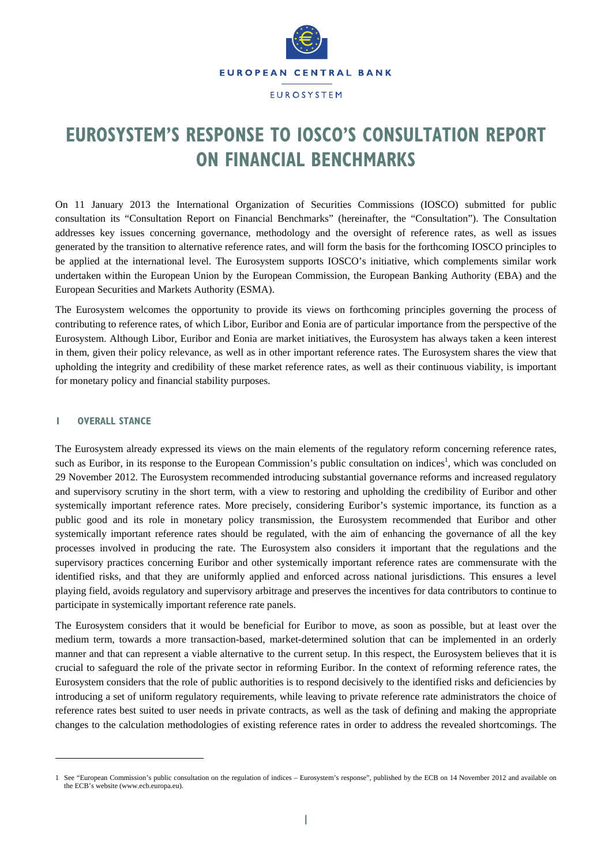

# **EUROSYSTEM'S RESPONSE TO IOSCO'S CONSULTATION REPORT ON FINANCIAL BENCHMARKS**

On 11 January 2013 the International Organization of Securities Commissions (IOSCO) submitted for public consultation its "Consultation Report on Financial Benchmarks" (hereinafter, the "Consultation"). The Consultation addresses key issues concerning governance, methodology and the oversight of reference rates, as well as issues generated by the transition to alternative reference rates, and will form the basis for the forthcoming IOSCO principles to be applied at the international level. The Eurosystem supports IOSCO's initiative, which complements similar work undertaken within the European Union by the European Commission, the European Banking Authority (EBA) and the European Securities and Markets Authority (ESMA).

The Eurosystem welcomes the opportunity to provide its views on forthcoming principles governing the process of contributing to reference rates, of which Libor, Euribor and Eonia are of particular importance from the perspective of the Eurosystem. Although Libor, Euribor and Eonia are market initiatives, the Eurosystem has always taken a keen interest in them, given their policy relevance, as well as in other important reference rates. The Eurosystem shares the view that upholding the integrity and credibility of these market reference rates, as well as their continuous viability, is important for monetary policy and financial stability purposes.

## **1 OVERALL STANCE**

l

The Eurosystem already expressed its views on the main elements of the regulatory reform concerning reference rates, such as Euribor, in its response to the European Commission's public consultation on indices<sup>1</sup>, which was concluded on 29 November 2012. The Eurosystem recommended introducing substantial governance reforms and increased regulatory and supervisory scrutiny in the short term, with a view to restoring and upholding the credibility of Euribor and other systemically important reference rates. More precisely, considering Euribor's systemic importance, its function as a public good and its role in monetary policy transmission, the Eurosystem recommended that Euribor and other systemically important reference rates should be regulated, with the aim of enhancing the governance of all the key processes involved in producing the rate. The Eurosystem also considers it important that the regulations and the supervisory practices concerning Euribor and other systemically important reference rates are commensurate with the identified risks, and that they are uniformly applied and enforced across national jurisdictions. This ensures a level playing field, avoids regulatory and supervisory arbitrage and preserves the incentives for data contributors to continue to participate in systemically important reference rate panels.

The Eurosystem considers that it would be beneficial for Euribor to move, as soon as possible, but at least over the medium term, towards a more transaction-based, market-determined solution that can be implemented in an orderly manner and that can represent a viable alternative to the current setup. In this respect, the Eurosystem believes that it is crucial to safeguard the role of the private sector in reforming Euribor. In the context of reforming reference rates, the Eurosystem considers that the role of public authorities is to respond decisively to the identified risks and deficiencies by introducing a set of uniform regulatory requirements, while leaving to private reference rate administrators the choice of reference rates best suited to user needs in private contracts, as well as the task of defining and making the appropriate changes to the calculation methodologies of existing reference rates in order to address the revealed shortcomings. The

<sup>1</sup> See "European Commission's public consultation on the regulation of indices – Eurosystem's response", published by the ECB on 14 November 2012 and available on the ECB's website (www.ecb.europa.eu).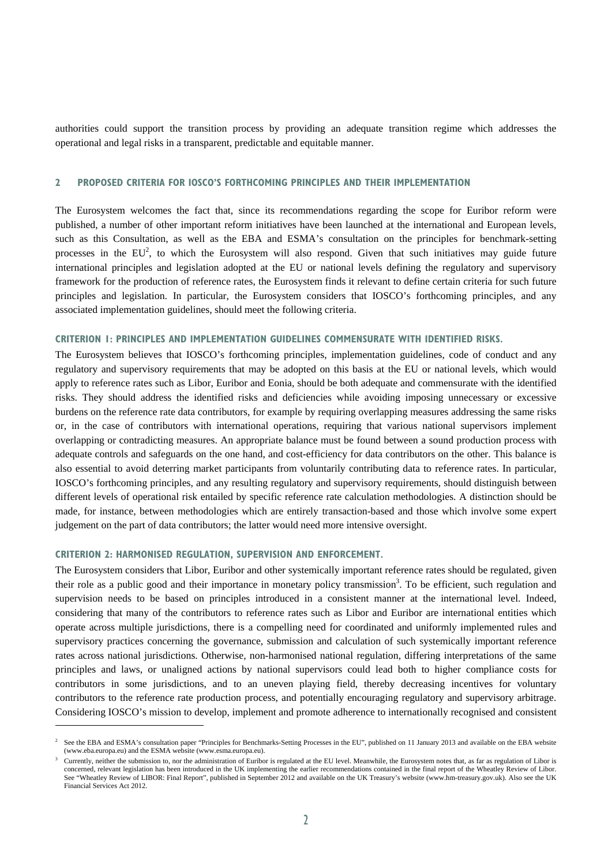authorities could support the transition process by providing an adequate transition regime which addresses the operational and legal risks in a transparent, predictable and equitable manner.

#### **2 PROPOSED CRITERIA FOR IOSCO'S FORTHCOMING PRINCIPLES AND THEIR IMPLEMENTATION**

The Eurosystem welcomes the fact that, since its recommendations regarding the scope for Euribor reform were published, a number of other important reform initiatives have been launched at the international and European levels, such as this Consultation, as well as the EBA and ESMA's consultation on the principles for benchmark-setting processes in the  $EU^2$ , to which the Eurosystem will also respond. Given that such initiatives may guide future international principles and legislation adopted at the EU or national levels defining the regulatory and supervisory framework for the production of reference rates, the Eurosystem finds it relevant to define certain criteria for such future principles and legislation. In particular, the Eurosystem considers that IOSCO's forthcoming principles, and any associated implementation guidelines, should meet the following criteria.

#### **CRITERION 1: PRINCIPLES AND IMPLEMENTATION GUIDELINES COMMENSURATE WITH IDENTIFIED RISKS.**

The Eurosystem believes that IOSCO's forthcoming principles, implementation guidelines, code of conduct and any regulatory and supervisory requirements that may be adopted on this basis at the EU or national levels, which would apply to reference rates such as Libor, Euribor and Eonia, should be both adequate and commensurate with the identified risks. They should address the identified risks and deficiencies while avoiding imposing unnecessary or excessive burdens on the reference rate data contributors, for example by requiring overlapping measures addressing the same risks or, in the case of contributors with international operations, requiring that various national supervisors implement overlapping or contradicting measures. An appropriate balance must be found between a sound production process with adequate controls and safeguards on the one hand, and cost-efficiency for data contributors on the other. This balance is also essential to avoid deterring market participants from voluntarily contributing data to reference rates. In particular, IOSCO's forthcoming principles, and any resulting regulatory and supervisory requirements, should distinguish between different levels of operational risk entailed by specific reference rate calculation methodologies. A distinction should be made, for instance, between methodologies which are entirely transaction-based and those which involve some expert judgement on the part of data contributors; the latter would need more intensive oversight.

### **CRITERION 2: HARMONISED REGULATION, SUPERVISION AND ENFORCEMENT.**

l

The Eurosystem considers that Libor, Euribor and other systemically important reference rates should be regulated, given their role as a public good and their importance in monetary policy transmission<sup>3</sup>. To be efficient, such regulation and supervision needs to be based on principles introduced in a consistent manner at the international level. Indeed, considering that many of the contributors to reference rates such as Libor and Euribor are international entities which operate across multiple jurisdictions, there is a compelling need for coordinated and uniformly implemented rules and supervisory practices concerning the governance, submission and calculation of such systemically important reference rates across national jurisdictions. Otherwise, non-harmonised national regulation, differing interpretations of the same principles and laws, or unaligned actions by national supervisors could lead both to higher compliance costs for contributors in some jurisdictions, and to an uneven playing field, thereby decreasing incentives for voluntary contributors to the reference rate production process, and potentially encouraging regulatory and supervisory arbitrage. Considering IOSCO's mission to develop, implement and promote adherence to internationally recognised and consistent

 $2^{\circ}$  See the EBA and ESMA's consultation paper "Principles for Benchmarks-Setting Processes in the EU", published on 11 January 2013 and available on the EBA website (www.eba.europa.eu) and the ESMA website (www.esma.europa.eu).

<sup>3</sup> Currently, neither the submission to, nor the administration of Euribor is regulated at the EU level. Meanwhile, the Eurosystem notes that, as far as regulation of Libor is concerned, relevant legislation has been introduced in the UK implementing the earlier recommendations contained in the final report of the Wheatley Review of Libor. See "Wheatley Review of LIBOR: Final Report", published in September 2012 and available on the UK Treasury's website (www.hm-treasury.gov.uk). Also see the UK Financial Services Act 2012.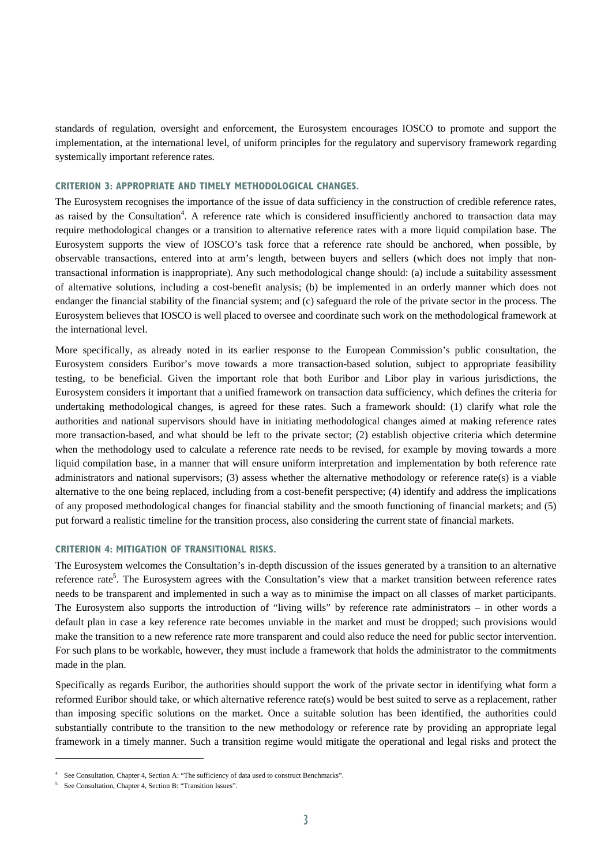standards of regulation, oversight and enforcement, the Eurosystem encourages IOSCO to promote and support the implementation, at the international level, of uniform principles for the regulatory and supervisory framework regarding systemically important reference rates.

# **CRITERION 3: APPROPRIATE AND TIMELY METHODOLOGICAL CHANGES.**

The Eurosystem recognises the importance of the issue of data sufficiency in the construction of credible reference rates, as raised by the Consultation<sup>4</sup>. A reference rate which is considered insufficiently anchored to transaction data may require methodological changes or a transition to alternative reference rates with a more liquid compilation base. The Eurosystem supports the view of IOSCO's task force that a reference rate should be anchored, when possible, by observable transactions, entered into at arm's length, between buyers and sellers (which does not imply that nontransactional information is inappropriate). Any such methodological change should: (a) include a suitability assessment of alternative solutions, including a cost-benefit analysis; (b) be implemented in an orderly manner which does not endanger the financial stability of the financial system; and (c) safeguard the role of the private sector in the process. The Eurosystem believes that IOSCO is well placed to oversee and coordinate such work on the methodological framework at the international level.

More specifically, as already noted in its earlier response to the European Commission's public consultation, the Eurosystem considers Euribor's move towards a more transaction-based solution, subject to appropriate feasibility testing, to be beneficial. Given the important role that both Euribor and Libor play in various jurisdictions, the Eurosystem considers it important that a unified framework on transaction data sufficiency, which defines the criteria for undertaking methodological changes, is agreed for these rates. Such a framework should: (1) clarify what role the authorities and national supervisors should have in initiating methodological changes aimed at making reference rates more transaction-based, and what should be left to the private sector; (2) establish objective criteria which determine when the methodology used to calculate a reference rate needs to be revised, for example by moving towards a more liquid compilation base, in a manner that will ensure uniform interpretation and implementation by both reference rate administrators and national supervisors; (3) assess whether the alternative methodology or reference rate(s) is a viable alternative to the one being replaced, including from a cost-benefit perspective; (4) identify and address the implications of any proposed methodological changes for financial stability and the smooth functioning of financial markets; and (5) put forward a realistic timeline for the transition process, also considering the current state of financial markets.

# **CRITERION 4: MITIGATION OF TRANSITIONAL RISKS.**

The Eurosystem welcomes the Consultation's in-depth discussion of the issues generated by a transition to an alternative reference rate<sup>5</sup>. The Eurosystem agrees with the Consultation's view that a market transition between reference rates needs to be transparent and implemented in such a way as to minimise the impact on all classes of market participants. The Eurosystem also supports the introduction of "living wills" by reference rate administrators – in other words a default plan in case a key reference rate becomes unviable in the market and must be dropped; such provisions would make the transition to a new reference rate more transparent and could also reduce the need for public sector intervention. For such plans to be workable, however, they must include a framework that holds the administrator to the commitments made in the plan.

Specifically as regards Euribor, the authorities should support the work of the private sector in identifying what form a reformed Euribor should take, or which alternative reference rate(s) would be best suited to serve as a replacement, rather than imposing specific solutions on the market. Once a suitable solution has been identified, the authorities could substantially contribute to the transition to the new methodology or reference rate by providing an appropriate legal framework in a timely manner. Such a transition regime would mitigate the operational and legal risks and protect the

l

<sup>&</sup>lt;sup>4</sup> See Consultation, Chapter 4, Section A: "The sufficiency of data used to construct Benchmarks".

<sup>&</sup>lt;sup>5</sup> See Consultation, Chapter 4, Section B: "Transition Issues".